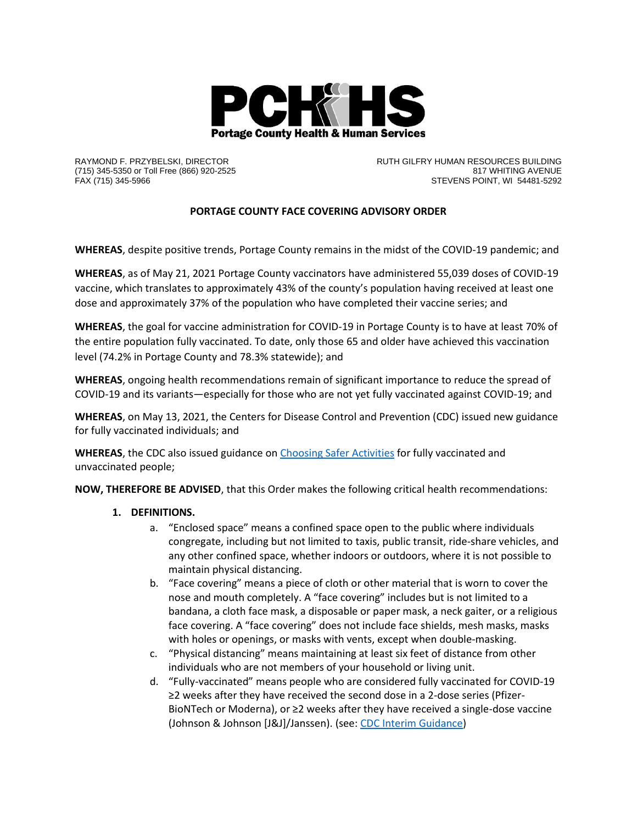

RAYMOND F. PRZYBELSKI, DIRECTOR (715) 345-5350 or Toll Free (866) 920-2525 FAX (715) 345-5966

RUTH GILFRY HUMAN RESOURCES BUILDING 817 WHITING AVENUE STEVENS POINT, WI 54481-5292

## **PORTAGE COUNTY FACE COVERING ADVISORY ORDER**

**WHEREAS**, despite positive trends, Portage County remains in the midst of the COVID-19 pandemic; and

**WHEREAS**, as of May 21, 2021 Portage County vaccinators have administered 55,039 doses of COVID-19 vaccine, which translates to approximately 43% of the county's population having received at least one dose and approximately 37% of the population who have completed their vaccine series; and

**WHEREAS**, the goal for vaccine administration for COVID-19 in Portage County is to have at least 70% of the entire population fully vaccinated. To date, only those 65 and older have achieved this vaccination level (74.2% in Portage County and 78.3% statewide); and

**WHEREAS**, ongoing health recommendations remain of significant importance to reduce the spread of COVID-19 and its variants—especially for those who are not yet fully vaccinated against COVID-19; and

**WHEREAS**, on May 13, 2021, the Centers for Disease Control and Prevention (CDC) issued new guidance for fully vaccinated individuals; and

**WHEREAS**, the CDC also issued guidance o[n Choosing Safer Activities](https://www.cdc.gov/coronavirus/2019-ncov/daily-life-coping/participate-in-activities.html) for fully vaccinated and unvaccinated people;

**NOW, THEREFORE BE ADVISED**, that this Order makes the following critical health recommendations:

## **1. DEFINITIONS.**

- a. "Enclosed space" means a confined space open to the public where individuals congregate, including but not limited to taxis, public transit, ride-share vehicles, and any other confined space, whether indoors or outdoors, where it is not possible to maintain physical distancing.
- b. "Face covering" means a piece of cloth or other material that is worn to cover the nose and mouth completely. A "face covering" includes but is not limited to a bandana, a cloth face mask, a disposable or paper mask, a neck gaiter, or a religious face covering. A "face covering" does not include face shields, mesh masks, masks with holes or openings, or masks with vents, except when double-masking.
- c. "Physical distancing" means maintaining at least six feet of distance from other individuals who are not members of your household or living unit.
- d. "Fully-vaccinated" means people who are considered fully vaccinated for COVID-19 ≥2 weeks after they have received the second dose in a 2-dose series (Pfizer-BioNTech or Moderna), or ≥2 weeks after they have received a single-dose vaccine (Johnson & Johnson [J&J]/Janssen). (see: CDC [Interim Guidance\)](https://www.cdc.gov/coronavirus/2019-ncov/vaccines/fully-vaccinated-guidance.html)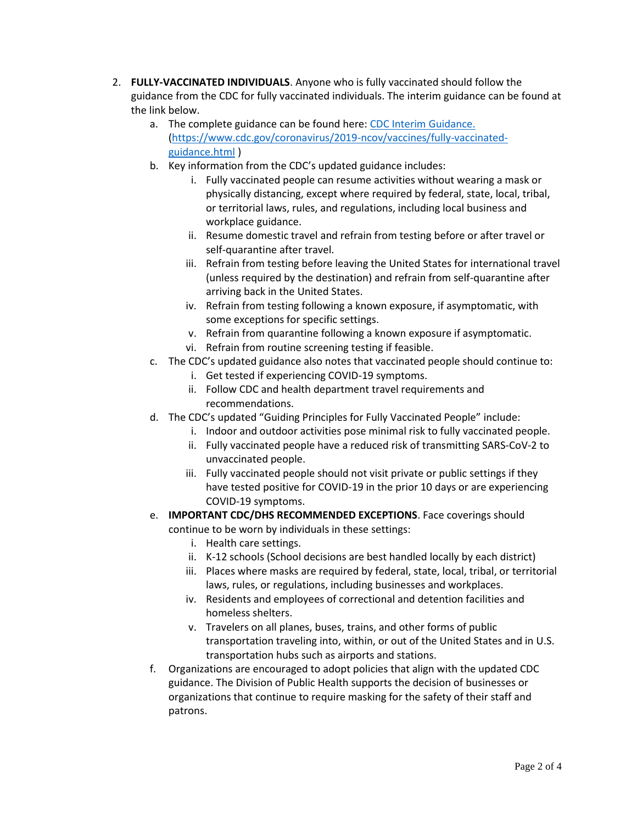- 2. **FULLY-VACCINATED INDIVIDUALS**. Anyone who is fully vaccinated should follow the guidance from the CDC for fully vaccinated individuals. The interim guidance can be found at the link below.
	- a. The complete guidance can be found here[: CDC Interim Guidance.](https://www.cdc.gov/coronavirus/2019-ncov/vaccines/fully-vaccinated-guidance.html) [\(https://www.cdc.gov/coronavirus/2019-ncov/vaccines/fully-vaccinated](https://www.cdc.gov/coronavirus/2019-ncov/vaccines/fully-vaccinated-guidance.html)[guidance.html](https://www.cdc.gov/coronavirus/2019-ncov/vaccines/fully-vaccinated-guidance.html) )
	- b. Key information from the CDC's updated guidance includes:
		- i. Fully vaccinated people can resume activities without wearing a mask or physically distancing, except where required by federal, state, local, tribal, or territorial laws, rules, and regulations, including local business and workplace guidance.
		- ii. Resume domestic travel and refrain from testing before or after travel or self-quarantine after travel.
		- iii. Refrain from testing before leaving the United States for international travel (unless required by the destination) and refrain from self-quarantine after arriving back in the United States.
		- iv. Refrain from testing following a known exposure, if asymptomatic, with some exceptions for specific settings.
		- v. Refrain from quarantine following a known exposure if asymptomatic.
		- vi. Refrain from routine screening testing if feasible.
	- c. The CDC's updated guidance also notes that vaccinated people should continue to:
		- i. Get tested if experiencing COVID-19 symptoms.
		- ii. Follow CDC and health department travel requirements and recommendations.
	- d. The CDC's updated "Guiding Principles for Fully Vaccinated People" include:
		- i. Indoor and outdoor activities pose minimal risk to fully vaccinated people.
		- ii. Fully vaccinated people have a reduced risk of transmitting SARS-CoV-2 to unvaccinated people.
		- iii. Fully vaccinated people should not visit private or public settings if they have tested positive for COVID-19 in the prior 10 days or are experiencing COVID-19 symptoms.
	- e. **IMPORTANT CDC/DHS RECOMMENDED EXCEPTIONS**. Face coverings should continue to be worn by individuals in these settings:
		- i. Health care settings.
		- ii. K-12 schools (School decisions are best handled locally by each district)
		- iii. Places where masks are required by federal, state, local, tribal, or territorial laws, rules, or regulations, including businesses and workplaces.
		- iv. Residents and employees of correctional and detention facilities and homeless shelters.
		- v. Travelers on all planes, buses, trains, and other forms of public transportation traveling into, within, or out of the United States and in U.S. transportation hubs such as airports and stations.
	- f. Organizations are encouraged to adopt policies that align with the updated CDC guidance. The Division of Public Health supports the decision of businesses or organizations that continue to require masking for the safety of their staff and patrons.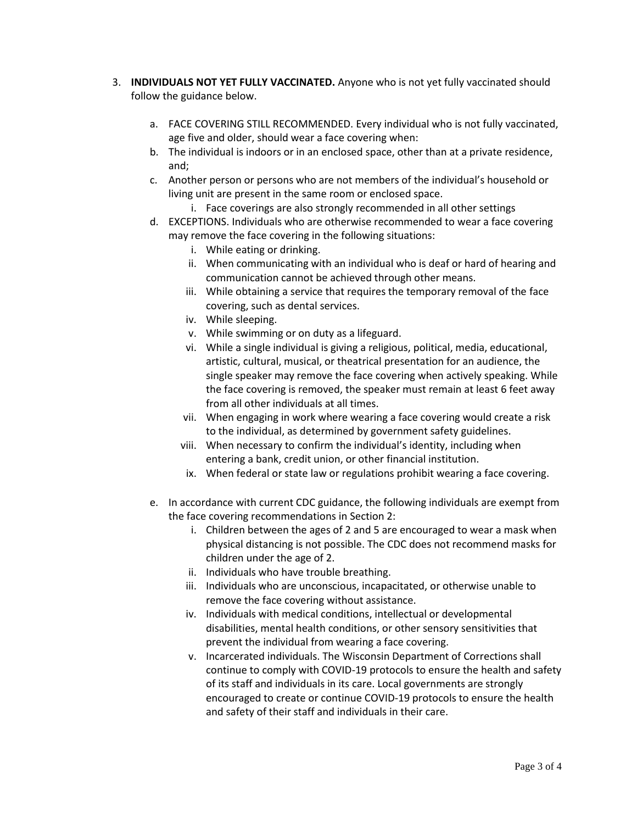- 3. **INDIVIDUALS NOT YET FULLY VACCINATED.** Anyone who is not yet fully vaccinated should follow the guidance below.
	- a. FACE COVERING STILL RECOMMENDED. Every individual who is not fully vaccinated, age five and older, should wear a face covering when:
	- b. The individual is indoors or in an enclosed space, other than at a private residence, and;
	- c. Another person or persons who are not members of the individual's household or living unit are present in the same room or enclosed space.
		- i. Face coverings are also strongly recommended in all other settings
	- d. EXCEPTIONS. Individuals who are otherwise recommended to wear a face covering may remove the face covering in the following situations:
		- i. While eating or drinking.
		- ii. When communicating with an individual who is deaf or hard of hearing and communication cannot be achieved through other means.
		- iii. While obtaining a service that requires the temporary removal of the face covering, such as dental services.
		- iv. While sleeping.
		- v. While swimming or on duty as a lifeguard.
		- vi. While a single individual is giving a religious, political, media, educational, artistic, cultural, musical, or theatrical presentation for an audience, the single speaker may remove the face covering when actively speaking. While the face covering is removed, the speaker must remain at least 6 feet away from all other individuals at all times.
		- vii. When engaging in work where wearing a face covering would create a risk to the individual, as determined by government safety guidelines.
		- viii. When necessary to confirm the individual's identity, including when entering a bank, credit union, or other financial institution.
		- ix. When federal or state law or regulations prohibit wearing a face covering.
	- e. In accordance with current CDC guidance, the following individuals are exempt from the face covering recommendations in Section 2:
		- i. Children between the ages of 2 and 5 are encouraged to wear a mask when physical distancing is not possible. The CDC does not recommend masks for children under the age of 2.
		- ii. Individuals who have trouble breathing.
		- iii. Individuals who are unconscious, incapacitated, or otherwise unable to remove the face covering without assistance.
		- iv. Individuals with medical conditions, intellectual or developmental disabilities, mental health conditions, or other sensory sensitivities that prevent the individual from wearing a face covering.
		- v. Incarcerated individuals. The Wisconsin Department of Corrections shall continue to comply with COVID-19 protocols to ensure the health and safety of its staff and individuals in its care. Local governments are strongly encouraged to create or continue COVID-19 protocols to ensure the health and safety of their staff and individuals in their care.